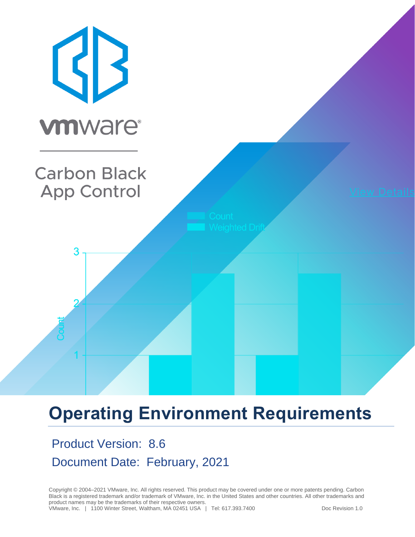

# **Operating Environment Requirements**

# Product Version: 8.6 Document Date: February, 2021

Copyright © 2004–2021 VMware, Inc. All rights reserved. This product may be covered under one or more patents pending. Carbon Black is a registered trademark and/or trademark of VMware, Inc. in the United States and other countries. All other trademarks and product names may be the trademarks of their respective owners.

VMware, Inc. | 1100 Winter Street, Waltham, MA 02451 USA | Tel: 617.393.7400 Doc Revision 1.0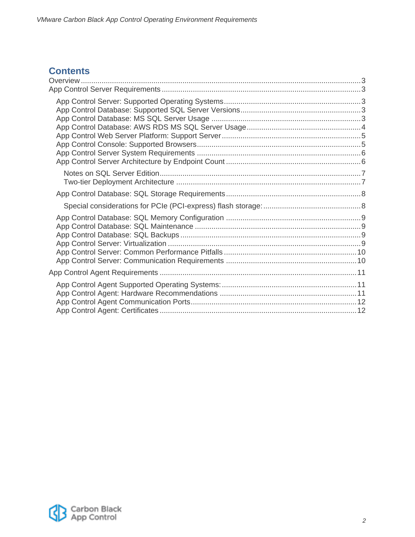#### **Contents**

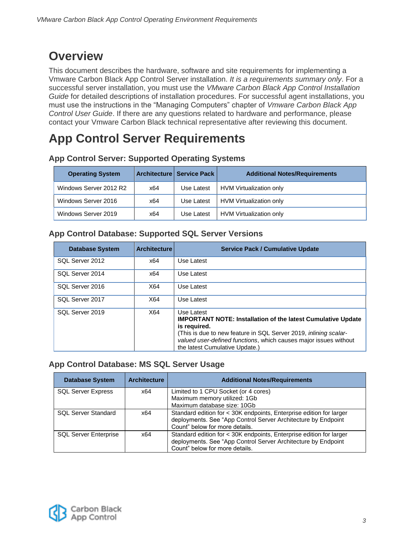### <span id="page-2-0"></span>**Overview**

This document describes the hardware, software and site requirements for implementing a Vmware Carbon Black App Control Server installation. *It is a requirements summary only*. For a successful server installation, you must use the *VMware Carbon Black App Control Installation Guide* for detailed descriptions of installation procedures. For successful agent installations, you must use the instructions in the "Managing Computers" chapter of *Vmware Carbon Black App Control User Guide*. If there are any questions related to hardware and performance, please contact your Vmware Carbon Black technical representative after reviewing this document.

## <span id="page-2-1"></span>**App Control Server Requirements**

| <b>Operating System</b> |     | Architecture   Service Pack | <b>Additional Notes/Requirements</b> |
|-------------------------|-----|-----------------------------|--------------------------------------|
| Windows Server 2012 R2  | x64 | Use Latest                  | HVM Virtualization only              |
| Windows Server 2016     | x64 | Use Latest                  | HVM Virtualization only              |
| Windows Server 2019     | x64 | Use Latest                  | HVM Virtualization only              |

#### <span id="page-2-2"></span>**App Control Server: Supported Operating Systems**

#### <span id="page-2-3"></span>**App Control Database: Supported SQL Server Versions**

| <b>Database System</b> | <b>Architecture</b> | <b>Service Pack / Cumulative Update</b>                                                                                                                                                                                                                                            |
|------------------------|---------------------|------------------------------------------------------------------------------------------------------------------------------------------------------------------------------------------------------------------------------------------------------------------------------------|
| SQL Server 2012        | x64                 | Use Latest                                                                                                                                                                                                                                                                         |
| SQL Server 2014        | x64                 | Use Latest                                                                                                                                                                                                                                                                         |
| SQL Server 2016        | X64                 | Use Latest                                                                                                                                                                                                                                                                         |
| SQL Server 2017        | X64                 | Use Latest                                                                                                                                                                                                                                                                         |
| SQL Server 2019        | X64                 | Use Latest<br><b>IMPORTANT NOTE: Installation of the latest Cumulative Update</b><br>is required.<br>(This is due to new feature in SQL Server 2019, <i>inlining scalar-</i><br>valued user-defined functions, which causes major issues without<br>the latest Cumulative Update.) |

#### <span id="page-2-4"></span>**App Control Database: MS SQL Server Usage**

| <b>Database System</b>       | <b>Architecture</b> | <b>Additional Notes/Requirements</b>                                |
|------------------------------|---------------------|---------------------------------------------------------------------|
| <b>SQL Server Express</b>    | x64                 | Limited to 1 CPU Socket (or 4 cores)                                |
|                              |                     | Maximum memory utilized: 1Gb                                        |
|                              |                     | Maximum database size: 10Gb                                         |
| <b>SQL Server Standard</b>   | x64                 | Standard edition for < 30K endpoints, Enterprise edition for larger |
|                              |                     | deployments. See "App Control Server Architecture by Endpoint       |
|                              |                     | Count" below for more details.                                      |
| <b>SQL Server Enterprise</b> | x64                 | Standard edition for < 30K endpoints, Enterprise edition for larger |
|                              |                     | deployments. See "App Control Server Architecture by Endpoint       |
|                              |                     | Count" below for more details.                                      |

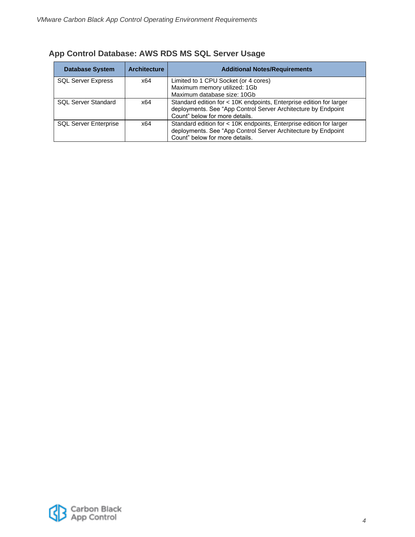| <b>Database System</b>       | <b>Architecture</b> | <b>Additional Notes/Requirements</b>                                                                                                                                   |
|------------------------------|---------------------|------------------------------------------------------------------------------------------------------------------------------------------------------------------------|
| <b>SQL Server Express</b>    | x64                 | Limited to 1 CPU Socket (or 4 cores)<br>Maximum memory utilized: 1Gb<br>Maximum database size: 10Gb                                                                    |
| <b>SQL Server Standard</b>   | x64                 | Standard edition for < 10K endpoints, Enterprise edition for larger<br>deployments. See "App Control Server Architecture by Endpoint<br>Count" below for more details. |
| <b>SQL Server Enterprise</b> | x64                 | Standard edition for < 10K endpoints, Enterprise edition for larger<br>deployments. See "App Control Server Architecture by Endpoint<br>Count" below for more details. |

#### <span id="page-3-0"></span>**App Control Database: AWS RDS MS SQL Server Usage**

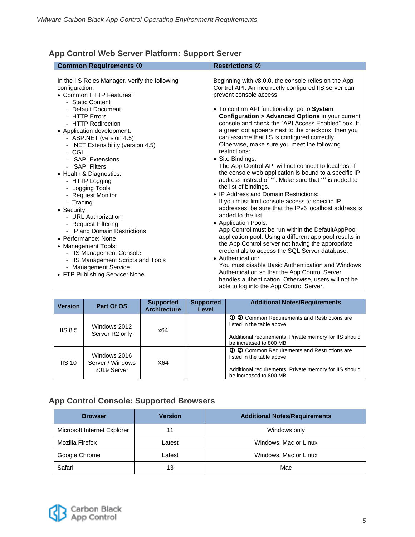#### <span id="page-4-0"></span>**App Control Web Server Platform: Support Server**

| <b>Version</b> | Part Of OS                                      | <b>Supported</b><br><b>Architecture</b> | <b>Supported</b><br>Level | <b>Additional Notes/Requirements</b>                                                                                                                          |
|----------------|-------------------------------------------------|-----------------------------------------|---------------------------|---------------------------------------------------------------------------------------------------------------------------------------------------------------|
| IIS 8.5        | Windows 2012<br>Server R <sub>2</sub> only      | x64                                     |                           | 1 2 Common Requirements and Restrictions are<br>listed in the table above<br>Additional requirements: Private memory for IIS should<br>be increased to 800 MB |
| $IIS$ 10       | Windows 2016<br>Server / Windows<br>2019 Server | X64                                     |                           | 1 2 Common Requirements and Restrictions are<br>listed in the table above<br>Additional requirements: Private memory for IIS should<br>be increased to 800 MB |

#### <span id="page-4-1"></span>**App Control Console: Supported Browsers**

| <b>Browser</b>              | <b>Version</b> | <b>Additional Notes/Requirements</b> |
|-----------------------------|----------------|--------------------------------------|
| Microsoft Internet Explorer | 11             | Windows only                         |
| Mozilla Firefox             | Latest         | Windows, Mac or Linux                |
| Google Chrome               | Latest         | Windows, Mac or Linux                |
| Safari                      | 13             | Mac                                  |

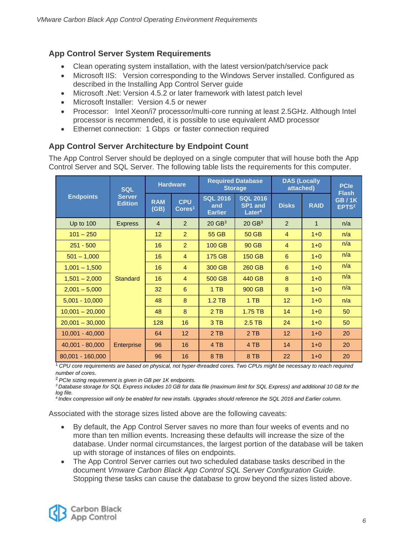#### <span id="page-5-0"></span>**App Control Server System Requirements**

- Clean operating system installation, with the latest version/patch/service pack
- Microsoft IIS: Version corresponding to the Windows Server installed. Configured as described in the Installing App Control Server guide
- Microsoft .Net: Version 4.5.2 or later framework with latest patch level
- Microsoft Installer: Version 4.5 or newer
- Processor: Intel Xeon/i7 processor/multi-core running at least 2.5GHz. Although Intel processor is recommended, it is possible to use equivalent AMD processor
- Ethernet connection: 1 Gbps or faster connection required

#### <span id="page-5-1"></span>**App Control Server Architecture by Endpoint Count**

The App Control Server should be deployed on a single computer that will house both the App Control Server and SQL Server. The following table lists the requirements for this computer.

| <b>SQL</b>        |                                 | <b>Hardware</b>    |                                | <b>Required Database</b><br><b>Storage</b> |                                                              | <b>DAS (Locally</b><br>attached) |              | <b>PCIe</b>                                       |
|-------------------|---------------------------------|--------------------|--------------------------------|--------------------------------------------|--------------------------------------------------------------|----------------------------------|--------------|---------------------------------------------------|
| <b>Endpoints</b>  | <b>Server</b><br><b>Edition</b> | <b>RAM</b><br>(GB) | <b>CPU</b><br>$\text{Cores}^1$ | <b>SQL 2016</b><br>and<br><b>Earlier</b>   | <b>SQL 2016</b><br>SP <sub>1</sub> and<br>Later <sup>4</sup> | <b>Disks</b>                     | <b>RAID</b>  | <b>Flash</b><br><b>GB/1K</b><br>EPTS <sup>2</sup> |
| <b>Up to 100</b>  | <b>Express</b>                  | $\overline{4}$     | $\mathcal{P}$                  | $20$ GB <sup>3</sup>                       | $20$ GB <sup>3</sup>                                         | 2                                | $\mathbf{1}$ | n/a                                               |
| $101 - 250$       |                                 | 12                 | $\overline{2}$                 | 55 GB                                      | 50 GB                                                        | 4                                | $1 + 0$      | n/a                                               |
| $251 - 500$       |                                 | 16                 | 2                              | 100 GB                                     | 90 GB                                                        | 4                                | $1+0$        | n/a                                               |
| $501 - 1,000$     |                                 | 16                 | $\overline{4}$                 | 175 GB                                     | 150 GB                                                       | 6                                | $1 + 0$      | n/a                                               |
| $1,001 - 1,500$   |                                 | 16                 | $\overline{4}$                 | 300 GB                                     | 260 GB                                                       | 6                                | $1 + 0$      | n/a                                               |
| $1,501 - 2,000$   | <b>Standard</b>                 | 16                 | $\overline{4}$                 | 500 GB                                     | 440 GB                                                       | 8                                | $1 + 0$      | n/a                                               |
| $2,001 - 5,000$   |                                 | 32                 | 6                              | $1$ TB                                     | 900 GB                                                       | 8                                | $1 + 0$      | n/a                                               |
| $5,001 - 10,000$  |                                 | 48                 | 8                              | $1.2$ TB                                   | $1$ TB                                                       | 12 <sup>2</sup>                  | $1 + 0$      | n/a                                               |
| $10,001 - 20,000$ |                                 | 48                 | 8                              | $2$ TB                                     | 1.75 TB                                                      | 14                               | $1 + 0$      | 50                                                |
| $20,001 - 30,000$ |                                 | 128                | 16                             | 3 TB                                       | $2.5$ TB                                                     | 24                               | $1 + 0$      | 50                                                |
| $10.001 - 40.000$ |                                 | 64                 | 12                             | 2TB                                        | 2TB                                                          | 12                               | $1 + 0$      | 20                                                |
| $40,001 - 80,000$ | Enterprise                      | 96                 | 16                             | 4 TB                                       | 4 TB                                                         | 14                               | $1+0$        | 20                                                |
| 80,001 - 160,000  |                                 | 96                 | 16                             | 8 TB                                       | 8 TB                                                         | 22                               | $1 + 0$      | 20                                                |

<sup>1</sup> CPU core requirements are based on physical, not hyper-threaded cores. Two CPUs might be necessary to reach required *number of cores*.

<sup>2</sup>*PCIe sizing requirement is given in GB per 1K endpoints.* 

*<sup>3</sup>Database storage for SQL Express includes 10 GB for data file (maximum limit for SQL Express) and additional 10 GB for the log file.*

*4 Index compression will only be enabled for new installs. Upgrades should reference the SQL 2016 and Earlier column.*

Associated with the storage sizes listed above are the following caveats:

- By default, the App Control Server saves no more than four weeks of events and no more than ten million events. Increasing these defaults will increase the size of the database. Under normal circumstances, the largest portion of the database will be taken up with storage of instances of files on endpoints.
- The App Control Server carries out two scheduled database tasks described in the document *Vmware Carbon Black App Control SQL Server Configuration Guide*. Stopping these tasks can cause the database to grow beyond the sizes listed above.

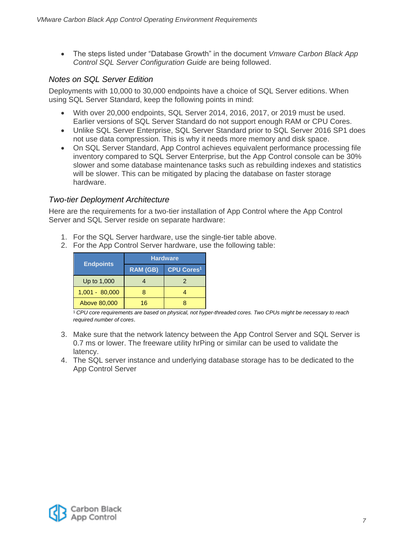The steps listed under "Database Growth" in the document *Vmware Carbon Black App Control SQL Server Configuration Guide* are being followed.

#### <span id="page-6-0"></span>*Notes on SQL Server Edition*

Deployments with 10,000 to 30,000 endpoints have a choice of SQL Server editions. When using SQL Server Standard, keep the following points in mind:

- With over 20,000 endpoints, SQL Server 2014, 2016, 2017, or 2019 must be used. Earlier versions of SQL Server Standard do not support enough RAM or CPU Cores.
- Unlike SQL Server Enterprise, SQL Server Standard prior to SQL Server 2016 SP1 does not use data compression. This is why it needs more memory and disk space.
- On SQL Server Standard, App Control achieves equivalent performance processing file inventory compared to SQL Server Enterprise, but the App Control console can be 30% slower and some database maintenance tasks such as rebuilding indexes and statistics will be slower. This can be mitigated by placing the database on faster storage hardware.

#### <span id="page-6-1"></span>*Two-tier Deployment Architecture*

Here are the requirements for a two-tier installation of App Control where the App Control Server and SQL Server reside on separate hardware:

- 1. For the SQL Server hardware, use the single-tier table above.
- 2. For the App Control Server hardware, use the following table:

|                  | <b>Hardware</b> |                              |  |  |
|------------------|-----------------|------------------------------|--|--|
| <b>Endpoints</b> | <b>RAM (GB)</b> | <b>CPU Cores<sup>1</sup></b> |  |  |
| Up to 1,000      |                 |                              |  |  |
| $1,001 - 80,000$ |                 |                              |  |  |
| Above 80,000     | 16              |                              |  |  |

1 *CPU core requirements are based on physical, not hyper-threaded cores. Two CPUs might be necessary to reach required number of cores*.

- 3. Make sure that the network latency between the App Control Server and SQL Server is 0.7 ms or lower. The freeware utility hrPing or similar can be used to validate the latency.
- 4. The SQL server instance and underlying database storage has to be dedicated to the App Control Server

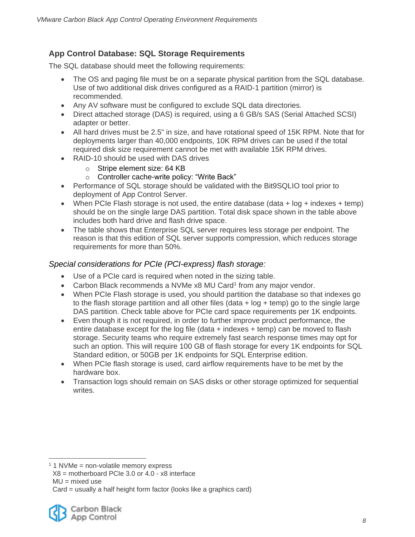#### <span id="page-7-0"></span>**App Control Database: SQL Storage Requirements**

The SQL database should meet the following requirements:

- The OS and paging file must be on a separate physical partition from the SQL database. Use of two additional disk drives configured as a RAID-1 partition (mirror) is recommended.
- Any AV software must be configured to exclude SQL data directories.
- Direct attached storage (DAS) is required, using a 6 GB/s SAS (Serial Attached SCSI) adapter or better.
- All hard drives must be 2.5" in size, and have rotational speed of 15K RPM. Note that for deployments larger than 40,000 endpoints, 10K RPM drives can be used if the total required disk size requirement cannot be met with available 15K RPM drives.
- RAID-10 should be used with DAS drives
	- o Stripe element size: 64 KB
	- o Controller cache-write policy: "Write Back"
- Performance of SQL storage should be validated with the Bit9SQLIO tool prior to deployment of App Control Server.
- When PCIe Flash storage is not used, the entire database (data  $+$  log  $+$  indexes  $+$  temp) should be on the single large DAS partition. Total disk space shown in the table above includes both hard drive and flash drive space.
- The table shows that Enterprise SQL server requires less storage per endpoint. The reason is that this edition of SQL server supports compression, which reduces storage requirements for more than 50%.

#### <span id="page-7-1"></span>*Special considerations for PCIe (PCI-express) flash storage:*

- Use of a PCIe card is required when noted in the sizing table.
- Carbon Black recommends a NVMe x8 MU Card<sup>1</sup> from any major vendor.
- When PCIe Flash storage is used, you should partition the database so that indexes go to the flash storage partition and all other files (data  $+$  log  $+$  temp) go to the single large DAS partition. Check table above for PCIe card space requirements per 1K endpoints.
- Even though it is not required, in order to further improve product performance, the entire database except for the log file (data + indexes + temp) can be moved to flash storage. Security teams who require extremely fast search response times may opt for such an option. This will require 100 GB of flash storage for every 1K endpoints for SQL Standard edition, or 50GB per 1K endpoints for SQL Enterprise edition.
- When PCIe flash storage is used, card airflow requirements have to be met by the hardware box.
- Transaction logs should remain on SAS disks or other storage optimized for sequential writes.

 $\overline{a}$ 

Card = usually a half height form factor (looks like a graphics card)



 $1$  1 NVMe = non-volatile memory express

 $X8 =$  motherboard PCIe 3.0 or 4.0 -  $x8$  interface

 $MU = mixed$  use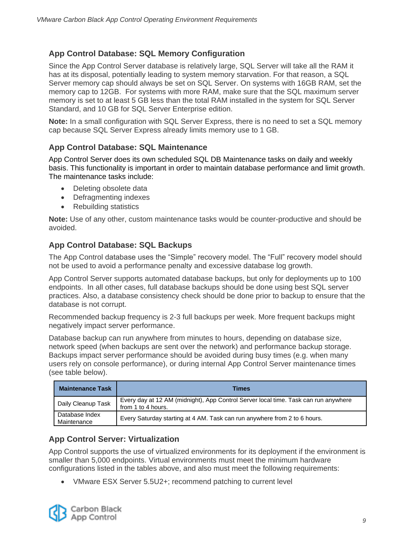#### <span id="page-8-0"></span>**App Control Database: SQL Memory Configuration**

Since the App Control Server database is relatively large, SQL Server will take all the RAM it has at its disposal, potentially leading to system memory starvation. For that reason, a SQL Server memory cap should always be set on SQL Server. On systems with 16GB RAM, set the memory cap to 12GB. For systems with more RAM, make sure that the SQL maximum server memory is set to at least 5 GB less than the total RAM installed in the system for SQL Server Standard, and 10 GB for SQL Server Enterprise edition.

**Note:** In a small configuration with SQL Server Express, there is no need to set a SQL memory cap because SQL Server Express already limits memory use to 1 GB.

#### <span id="page-8-1"></span>**App Control Database: SQL Maintenance**

App Control Server does its own scheduled SQL DB Maintenance tasks on daily and weekly basis. This functionality is important in order to maintain database performance and limit growth. The maintenance tasks include:

- Deleting obsolete data
- Defragmenting indexes
- Rebuilding statistics

**Note:** Use of any other, custom maintenance tasks would be counter-productive and should be avoided.

#### <span id="page-8-2"></span>**App Control Database: SQL Backups**

The App Control database uses the "Simple" recovery model. The "Full" recovery model should not be used to avoid a performance penalty and excessive database log growth.

App Control Server supports automated database backups, but only for deployments up to 100 endpoints. In all other cases, full database backups should be done using best SQL server practices. Also, a database consistency check should be done prior to backup to ensure that the database is not corrupt.

Recommended backup frequency is 2-3 full backups per week. More frequent backups might negatively impact server performance.

Database backup can run anywhere from minutes to hours, depending on database size, network speed (when backups are sent over the network) and performance backup storage. Backups impact server performance should be avoided during busy times (e.g. when many users rely on console performance), or during internal App Control Server maintenance times (see table below).

| <b>Maintenance Task</b>       | <b>Times</b>                                                                                              |
|-------------------------------|-----------------------------------------------------------------------------------------------------------|
| Daily Cleanup Task            | Every day at 12 AM (midnight), App Control Server local time. Task can run anywhere<br>from 1 to 4 hours. |
| Database Index<br>Maintenance | Every Saturday starting at 4 AM. Task can run anywhere from 2 to 6 hours.                                 |

#### <span id="page-8-3"></span>**App Control Server: Virtualization**

App Control supports the use of virtualized environments for its deployment if the environment is smaller than 5,000 endpoints. Virtual environments must meet the minimum hardware configurations listed in the tables above, and also must meet the following requirements:

VMware ESX Server 5.5U2+; recommend patching to current level

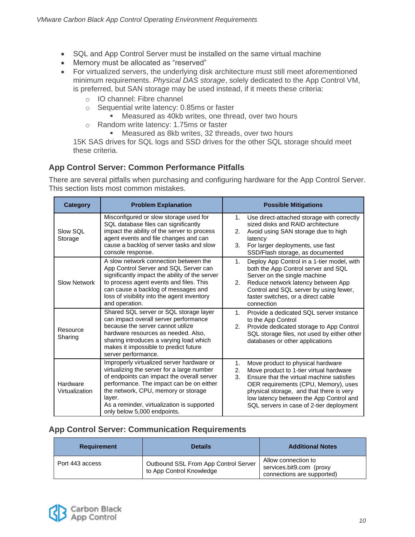- SQL and App Control Server must be installed on the same virtual machine
- Memory must be allocated as "reserved"
- For virtualized servers, the underlying disk architecture must still meet aforementioned minimum requirements. *Physical DAS storage*, solely dedicated to the App Control VM, is preferred, but SAN storage may be used instead, if it meets these criteria:
	- o IO channel: Fibre channel
	- o Sequential write latency: 0.85ms or faster
		- **Measured as 40kb writes, one thread, over two hours**
	- o Random write latency: 1.75ms or faster
		- **Measured as 8kb writes, 32 threads, over two hours**

15K SAS drives for SQL logs and SSD drives for the other SQL storage should meet these criteria.

#### <span id="page-9-0"></span>**App Control Server: Common Performance Pitfalls**

There are several pitfalls when purchasing and configuring hardware for the App Control Server. This section lists most common mistakes.

| <b>Category</b>            | <b>Problem Explanation</b>                                                                                                                                                                                                                                                                                      | <b>Possible Mitigations</b>                                                                                                                                                                                                                                                                                                        |  |  |
|----------------------------|-----------------------------------------------------------------------------------------------------------------------------------------------------------------------------------------------------------------------------------------------------------------------------------------------------------------|------------------------------------------------------------------------------------------------------------------------------------------------------------------------------------------------------------------------------------------------------------------------------------------------------------------------------------|--|--|
| Slow SQL<br>Storage        | Misconfigured or slow storage used for<br>SQL database files can significantly<br>impact the ability of the server to process<br>agent events and file changes and can<br>cause a backlog of server tasks and slow<br>console response.                                                                         | Use direct-attached storage with correctly<br>1.<br>sized disks and RAID architecture<br>Avoid using SAN storage due to high<br>2.<br>latency<br>For larger deployments, use fast<br>3.<br>SSD/Flash storage, as documented                                                                                                        |  |  |
| <b>Slow Network</b>        | A slow network connection between the<br>App Control Server and SQL Server can<br>significantly impact the ability of the server<br>to process agent events and files. This<br>can cause a backlog of messages and<br>loss of visibility into the agent inventory<br>and operation.                             | Deploy App Control in a 1-tier model, with<br>1.<br>both the App Control server and SQL<br>Server on the single machine<br>Reduce network latency between App<br>2.<br>Control and SQL server by using fewer,<br>faster switches, or a direct cable<br>connection                                                                  |  |  |
| Resource<br>Sharing        | Shared SQL server or SQL storage layer<br>can impact overall server performance<br>because the server cannot utilize<br>hardware resources as needed. Also,<br>sharing introduces a varying load which<br>makes it impossible to predict future<br>server performance.                                          | Provide a dedicated SQL server instance<br>1 <sub>1</sub><br>to the App Control<br>Provide dedicated storage to App Control<br>2.<br>SQL storage files, not used by either other<br>databases or other applications                                                                                                                |  |  |
| Hardware<br>Virtualization | Improperly virtualized server hardware or<br>virtualizing the server for a large number<br>of endpoints can impact the overall server<br>performance. The impact can be on either<br>the network, CPU, memory or storage<br>layer.<br>As a reminder, virtualization is supported<br>only below 5,000 endpoints. | Move product to physical hardware<br>1.<br>2.<br>Move product to 1-tier virtual hardware<br>3 <sub>1</sub><br>Ensure that the virtual machine satisfies<br>OER requirements (CPU, Memory), uses<br>physical storage, and that there is very<br>low latency between the App Control and<br>SQL servers in case of 2-tier deployment |  |  |

#### <span id="page-9-1"></span>**App Control Server: Communication Requirements**

| <b>Requirement</b> | <b>Details</b>                                                   | <b>Additional Notes</b>                                                       |
|--------------------|------------------------------------------------------------------|-------------------------------------------------------------------------------|
| Port 443 access    | Outbound SSL From App Control Server<br>to App Control Knowledge | Allow connection to<br>services.bit9.com (proxy<br>connections are supported) |

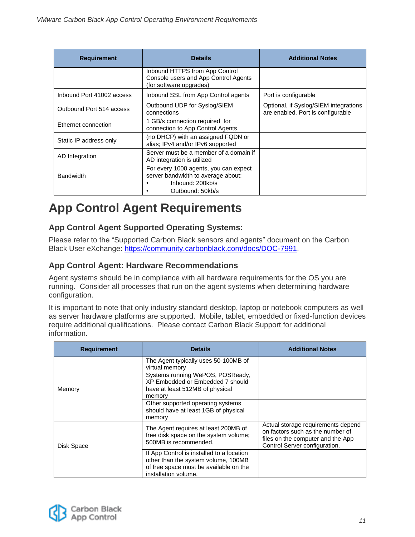| <b>Requirement</b>        | <b>Details</b>                                                                                                      | <b>Additional Notes</b>                                                    |
|---------------------------|---------------------------------------------------------------------------------------------------------------------|----------------------------------------------------------------------------|
|                           | Inbound HTTPS from App Control<br>Console users and App Control Agents<br>(for software upgrades)                   |                                                                            |
| Inbound Port 41002 access | Inbound SSL from App Control agents                                                                                 | Port is configurable                                                       |
| Outbound Port 514 access  | Outbound UDP for Syslog/SIEM<br>connections                                                                         | Optional, if Syslog/SIEM integrations<br>are enabled. Port is configurable |
| Ethernet connection       | 1 GB/s connection required for<br>connection to App Control Agents                                                  |                                                                            |
| Static IP address only    | (no DHCP) with an assigned FQDN or<br>alias; IPv4 and/or IPv6 supported                                             |                                                                            |
| AD Integration            | Server must be a member of a domain if<br>AD integration is utilized                                                |                                                                            |
| <b>Bandwidth</b>          | For every 1000 agents, you can expect<br>server bandwidth to average about:<br>Inbound: 200kb/s<br>Outbound: 50kb/s |                                                                            |

# <span id="page-10-0"></span>**App Control Agent Requirements**

#### <span id="page-10-1"></span>**App Control Agent Supported Operating Systems:**

Please refer to the "Supported Carbon Black sensors and agents" document on the Carbon Black User eXchange: [https://community.carbonblack.com/docs/DOC-7991.](https://community.carbonblack.com/docs/DOC-7991)

#### <span id="page-10-2"></span>**App Control Agent: Hardware Recommendations**

Agent systems should be in compliance with all hardware requirements for the OS you are running. Consider all processes that run on the agent systems when determining hardware configuration.

It is important to note that only industry standard desktop, laptop or notebook computers as well as server hardware platforms are supported. Mobile, tablet, embedded or fixed-function devices require additional qualifications. Please contact Carbon Black Support for additional information.

| <b>Requirement</b> | <b>Details</b>                                                                                                                                     | <b>Additional Notes</b>                                                                                                                      |
|--------------------|----------------------------------------------------------------------------------------------------------------------------------------------------|----------------------------------------------------------------------------------------------------------------------------------------------|
| Memory             | The Agent typically uses 50-100MB of<br>virtual memory                                                                                             |                                                                                                                                              |
|                    | Systems running WePOS, POSReady,<br>XP Embedded or Embedded 7 should<br>have at least 512MB of physical<br>memory                                  |                                                                                                                                              |
|                    | Other supported operating systems<br>should have at least 1GB of physical<br>memory                                                                |                                                                                                                                              |
| Disk Space         | The Agent requires at least 200MB of<br>free disk space on the system volume;<br>500MB is recommended.                                             | Actual storage requirements depend<br>on factors such as the number of<br>files on the computer and the App<br>Control Server configuration. |
|                    | If App Control is installed to a location<br>other than the system volume, 100MB<br>of free space must be available on the<br>installation volume. |                                                                                                                                              |